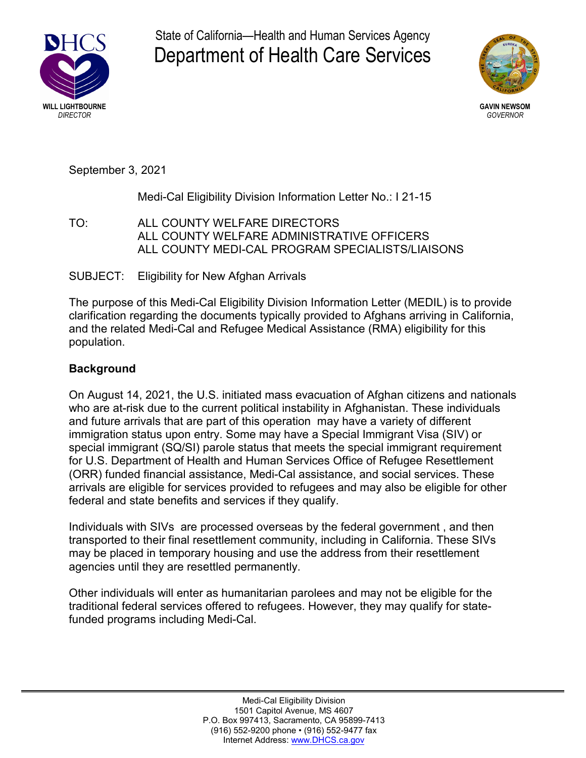

State of California—Health and Human Services Agency Department of Health Care Services



September 3, 2021

# Medi-Cal Eligibility Division Information Letter No.: I 21-15

TO: ALL COUNTY WELFARE DIRECTORS ALL COUNTY WELFARE ADMINISTRATIVE OFFICERS ALL COUNTY MEDI-CAL PROGRAM SPECIALISTS/LIAISONS

# SUBJECT: Eligibility for New Afghan Arrivals

The purpose of this Medi-Cal Eligibility Division Information Letter (MEDIL) is to provide clarification regarding the documents typically provided to Afghans arriving in California, and the related Medi-Cal and Refugee Medical Assistance (RMA) eligibility for this population.

# **Background**

On August 14, 2021, the U.S. initiated mass evacuation of Afghan citizens and nationals who are at-risk due to the current political instability in Afghanistan. These individuals and future arrivals that are part of this operation may have a variety of different immigration status upon entry. Some may have a Special Immigrant Visa (SIV) or special immigrant (SQ/SI) parole status that meets the special immigrant requirement for U.S. Department of Health and Human Services Office of Refugee Resettlement (ORR) funded financial assistance, Medi-Cal assistance, and social services. These arrivals are eligible for services provided to refugees and may also be eligible for other federal and state benefits and services if they qualify.

Individuals with SIVs are processed overseas by the federal government , and then transported to their final resettlement community, including in California. These SIVs may be placed in temporary housing and use the address from their resettlement agencies until they are resettled permanently.

Other individuals will enter as humanitarian parolees and may not be eligible for the traditional federal services offered to refugees. However, they may qualify for statefunded programs including Medi-Cal.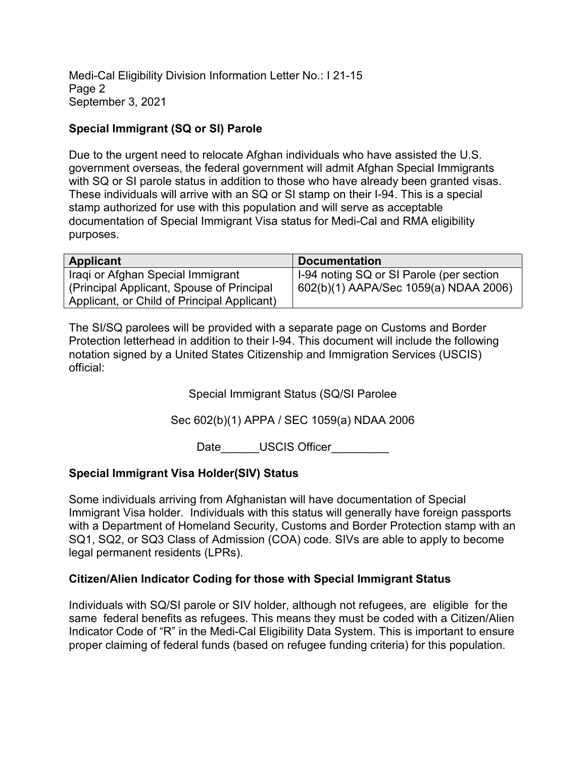Medi-Cal Eligibility Division Information Letter No.: I 21-15 Page 2 September 3, 2021

# **Special Immigrant (SQ or SI) Parole**

Due to the urgent need to relocate Afghan individuals who have assisted the U.S. government overseas, the federal government will admit Afghan Special Immigrants with SQ or SI parole status in addition to those who have already been granted visas. These individuals will arrive with an SQ or SI stamp on their I-94. This is a special stamp authorized for use with this population and will serve as acceptable documentation of Special Immigrant Visa status for Medi-Cal and RMA eligibility purposes.

| Applicant                                   | <b>Documentation</b>                     |
|---------------------------------------------|------------------------------------------|
| Iraqi or Afghan Special Immigrant           | I-94 noting SQ or SI Parole (per section |
| (Principal Applicant, Spouse of Principal   | 602(b)(1) AAPA/Sec 1059(a) NDAA 2006)    |
| Applicant, or Child of Principal Applicant) |                                          |

The SI/SQ parolees will be provided with a separate page on Customs and Border Protection letterhead in addition to their I-94. This document will include the following notation signed by a United States Citizenship and Immigration Services (USCIS) official:

Special Immigrant Status (SQ/SI Parolee

Sec 602(b)(1) APPA / SEC 1059(a) NDAA 2006

Date \_\_\_\_\_\_USCIS Officer

## **Special Immigrant Visa Holder(SIV) Status**

Some individuals arriving from Afghanistan will have documentation of Special Immigrant Visa holder. Individuals with this status will generally have foreign passports with a Department of Homeland Security, Customs and Border Protection stamp with an SQ1, SQ2, or SQ3 Class of Admission (COA) code. SIVs are able to apply to become legal permanent residents (LPRs).

## **Citizen/Alien Indicator Coding for those with Special Immigrant Status**

Individuals with SQ/SI parole or SIV holder, although not refugees, are eligible for the same federal benefits as refugees. This means they must be coded with a Citizen/Alien Indicator Code of "R" in the Medi-Cal Eligibility Data System. This is important to ensure proper claiming of federal funds (based on refugee funding criteria) for this population.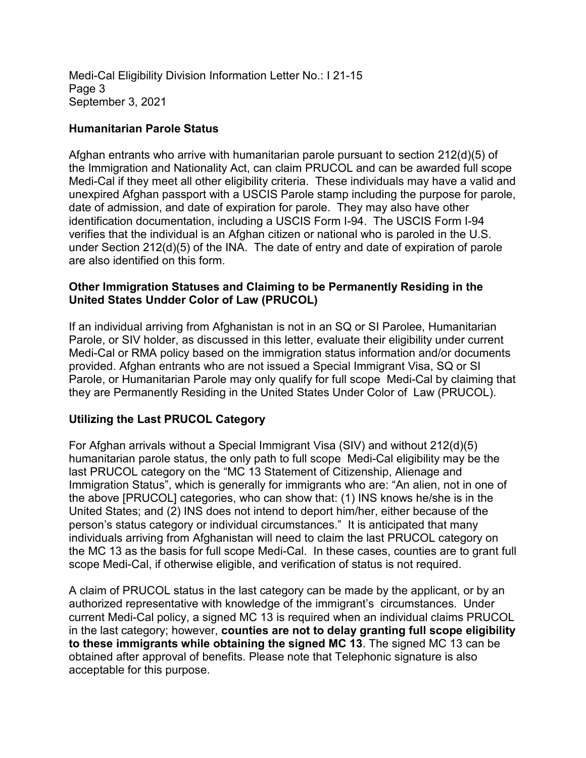Medi-Cal Eligibility Division Information Letter No.: I 21-15 Page 3 September 3, 2021

### **Humanitarian Parole Status**

Afghan entrants who arrive with humanitarian parole pursuant to section 212(d)(5) of the Immigration and Nationality Act, can claim PRUCOL and can be awarded full scope Medi-Cal if they meet all other eligibility criteria. These individuals may have a valid and unexpired Afghan passport with a USCIS Parole stamp including the purpose for parole, date of admission, and date of expiration for parole. They may also have other identification documentation, including a USCIS Form I-94. The USCIS Form I-94 verifies that the individual is an Afghan citizen or national who is paroled in the U.S. under Section 212(d)(5) of the INA. The date of entry and date of expiration of parole are also identified on this form.

### **Other Immigration Statuses and Claiming to be Permanently Residing in the United States Undder Color of Law (PRUCOL)**

If an individual arriving from Afghanistan is not in an SQ or SI Parolee, Humanitarian Parole, or SIV holder, as discussed in this letter, evaluate their eligibility under current Medi-Cal or RMA policy based on the immigration status information and/or documents provided. Afghan entrants who are not issued a Special Immigrant Visa, SQ or SI Parole, or Humanitarian Parole may only qualify for full scope Medi-Cal by claiming that they are Permanently Residing in the United States Under Color of Law (PRUCOL).

## **Utilizing the Last PRUCOL Category**

For Afghan arrivals without a Special Immigrant Visa (SIV) and without 212(d)(5) humanitarian parole status, the only path to full scope Medi-Cal eligibility may be the last PRUCOL category on the "MC 13 Statement of Citizenship, Alienage and Immigration Status", which is generally for immigrants who are: "An alien, not in one of the above [PRUCOL] categories, who can show that: (1) INS knows he/she is in the United States; and (2) INS does not intend to deport him/her, either because of the person's status category or individual circumstances." It is anticipated that many individuals arriving from Afghanistan will need to claim the last PRUCOL category on the MC 13 as the basis for full scope Medi-Cal. In these cases, counties are to grant full scope Medi-Cal, if otherwise eligible, and verification of status is not required.

A claim of PRUCOL status in the last category can be made by the applicant, or by an authorized representative with knowledge of the immigrant's circumstances. Under current Medi-Cal policy, a signed MC 13 is required when an individual claims PRUCOL in the last category; however, **counties are not to delay granting full scope eligibility to these immigrants while obtaining the signed MC 13**. The signed MC 13 can be obtained after approval of benefits. Please note that Telephonic signature is also acceptable for this purpose.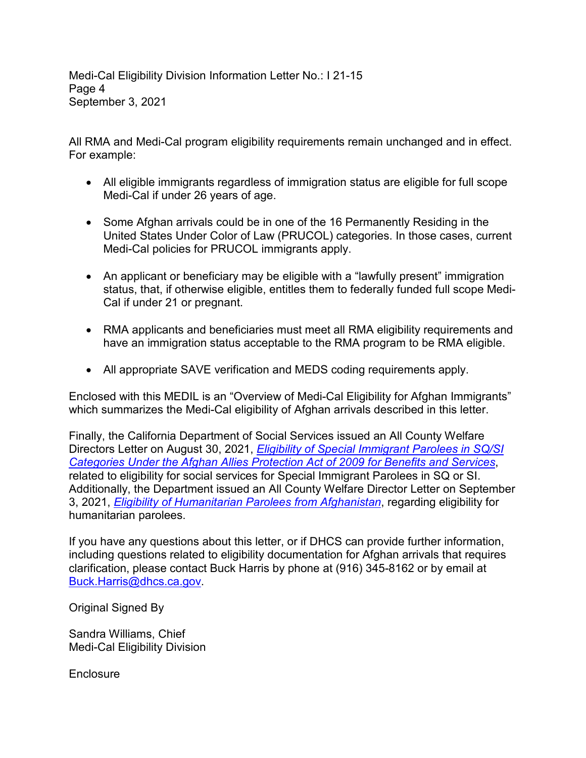Medi-Cal Eligibility Division Information Letter No.: I 21-15 Page 4 September 3, 2021

All RMA and Medi-Cal program eligibility requirements remain unchanged and in effect. For example:

- All eligible immigrants regardless of immigration status are eligible for full scope Medi-Cal if under 26 years of age.
- Some Afghan arrivals could be in one of the 16 Permanently Residing in the United States Under Color of Law (PRUCOL) categories. In those cases, current Medi-Cal policies for PRUCOL immigrants apply.
- An applicant or beneficiary may be eligible with a "lawfully present" immigration status, that, if otherwise eligible, entitles them to federally funded full scope Medi-Cal if under 21 or pregnant.
- RMA applicants and beneficiaries must meet all RMA eligibility requirements and have an immigration status acceptable to the RMA program to be RMA eligible.
- All appropriate SAVE verification and MEDS coding requirements apply.

Enclosed with this MEDIL is an "Overview of Medi-Cal Eligibility for Afghan Immigrants" which summarizes the Medi-Cal eligibility of Afghan arrivals described in this letter.

Finally, the California Department of Social Services issued an All County Welfare Directors Letter on August 30, 2021, *[Eligibility of Special Immigrant Parolees in SQ/SI](https://www.cdss.ca.gov/Portals/9/Additional-Resources/Letters-and-Notices/ACWDL/2021/CL_08-30-21.pdf?ver=2021-08-30-154343-403) Categories Under the Afghan Allies Protection Act of 2009 for Benefits and Services*, related to eligibility for social services for Special Immigrant Parolees in SQ or SI. Additionally, the Department issued an All County Welfare Director Letter on September 3, 2021, *[Eligibility of Humanitarian Parolees from Afghanistan](https://www.cdss.ca.gov/Portals/9/Additional-Resources/Letters-and-Notices/ACWDL/2021/ACWDL_9-3-21_Humanitarian.pdf?ver=2021-09-03-155147-047)*, regarding eligibility for humanitarian parolees.

If you have any questions about this letter, or if DHCS can provide further information, including questions related to eligibility documentation for Afghan arrivals that requires clarification, please contact Buck Harris by phone at (916) 345-8162 or by email at Buck.Harris@dhcs.ca.gov.

Original Signed By

Sandra Williams, Chief Medi-Cal Eligibility Division

**Enclosure**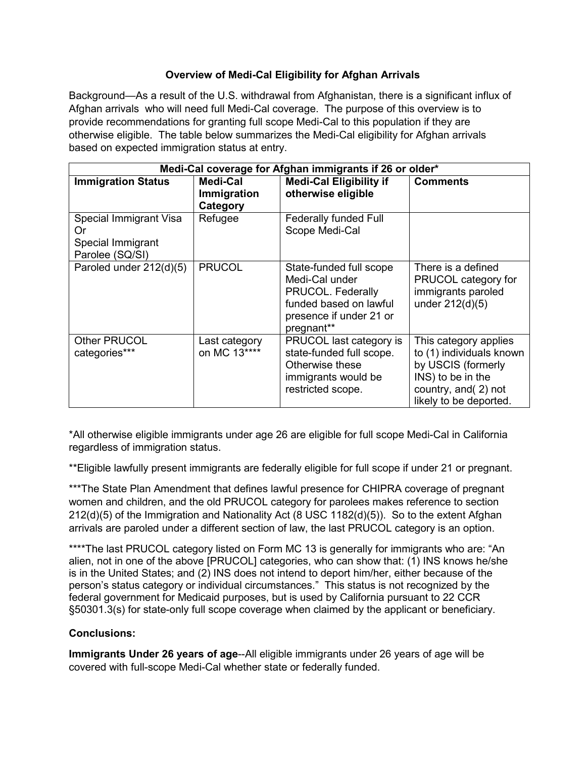#### **Overview of Medi-Cal Eligibility for Afghan Arrivals**

Background—As a result of the U.S. withdrawal from Afghanistan, there is a significant influx of Afghan arrivals who will need full Medi-Cal coverage. The purpose of this overview is to provide recommendations for granting full scope Medi-Cal to this population if they are otherwise eligible. The table below summarizes the Medi-Cal eligibility for Afghan arrivals based on expected immigration status at entry.

| Medi-Cal coverage for Afghan immigrants if 26 or older*              |                                     |                                                                                                                                   |                                                                                                                                                |
|----------------------------------------------------------------------|-------------------------------------|-----------------------------------------------------------------------------------------------------------------------------------|------------------------------------------------------------------------------------------------------------------------------------------------|
| <b>Immigration Status</b>                                            | Medi-Cal<br>Immigration<br>Category | <b>Medi-Cal Eligibility if</b><br>otherwise eligible                                                                              | <b>Comments</b>                                                                                                                                |
| Special Immigrant Visa<br>Or<br>Special Immigrant<br>Parolee (SQ/SI) | Refugee                             | <b>Federally funded Full</b><br>Scope Medi-Cal                                                                                    |                                                                                                                                                |
| Paroled under 212(d)(5)                                              | <b>PRUCOL</b>                       | State-funded full scope<br>Medi-Cal under<br>PRUCOL. Federally<br>funded based on lawful<br>presence if under 21 or<br>pregnant** | There is a defined<br>PRUCOL category for<br>immigrants paroled<br>under 212(d)(5)                                                             |
| <b>Other PRUCOL</b><br>categories***                                 | Last category<br>on MC 13****       | PRUCOL last category is<br>state-funded full scope.<br>Otherwise these<br>immigrants would be<br>restricted scope.                | This category applies<br>to (1) individuals known<br>by USCIS (formerly<br>INS) to be in the<br>country, and (2) not<br>likely to be deported. |

\*All otherwise eligible immigrants under age 26 are eligible for full scope Medi-Cal in California regardless of immigration status.

\*\*Eligible lawfully present immigrants are federally eligible for full scope if under 21 or pregnant.

\*\*\*The State Plan Amendment that defines lawful presence for CHIPRA coverage of pregnant women and children, and the old PRUCOL category for parolees makes reference to section 212(d)(5) of the Immigration and Nationality Act (8 USC 1182(d)(5)). So to the extent Afghan arrivals are paroled under a different section of law, the last PRUCOL category is an option.

\*\*\*\*The last PRUCOL category listed on Form MC 13 is generally for immigrants who are: "An alien, not in one of the above [PRUCOL] categories, who can show that: (1) INS knows he/she is in the United States; and (2) INS does not intend to deport him/her, either because of the person's status category or individual circumstances." This status is not recognized by the federal government for Medicaid purposes, but is used by California pursuant to 22 CCR §50301.3(s) for state-only full scope coverage when claimed by the applicant or beneficiary.

### **Conclusions:**

**Immigrants Under 26 years of age**--All eligible immigrants under 26 years of age will be covered with full-scope Medi-Cal whether state or federally funded.